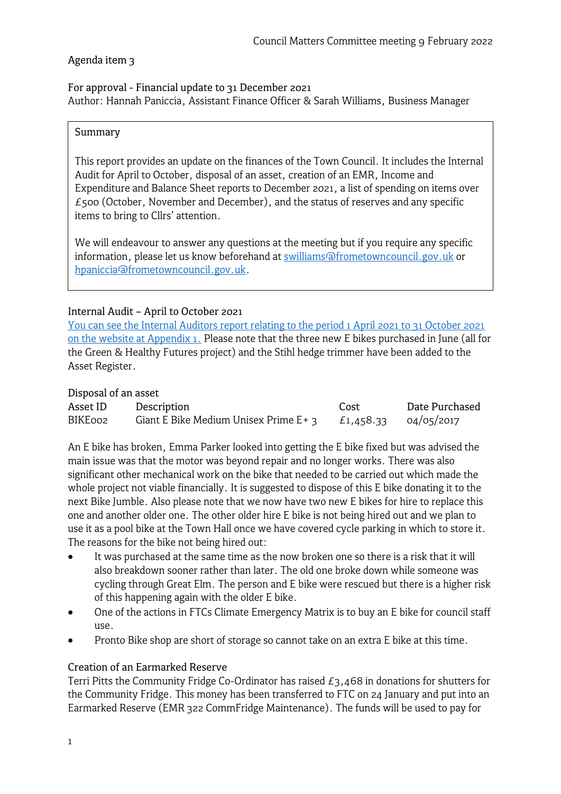# Agenda item 3

For approval - Financial update to 31 December 2021 Author: Hannah Paniccia, Assistant Finance Officer & Sarah Williams, Business Manager

#### Summary

This report provides an update on the finances of the Town Council. It includes the Internal Audit for April to October, disposal of an asset, creation of an EMR, Income and Expenditure and Balance Sheet reports to December 2021, a list of spending on items over  $£500$  (October, November and December), and the status of reserves and any specific items to bring to Cllrs' attention.

We will endeavour to answer any questions at the meeting but if you require any specific information, please let us know beforehand at [swilliams@frometowncouncil.gov.uk](mailto:swilliams@frometowncouncil.gov.uk) or [hpaniccia@frometowncouncil.gov.uk.](mailto:hpaniccia@frometowncouncil.gov.uk)

# Internal Audit – April to October 2021

You can see the Internal Auditors report [relating to the period 1 April 2021 to 31 October 2021](https://www.frometowncouncil.gov.uk/wp-content/uploads/2022/02/Appendix-1-Frome-Town-Council-Internal-Auditor-letter-Apr-21-to-Oct-21.pdf) [on the website at Appendix 1.](https://www.frometowncouncil.gov.uk/wp-content/uploads/2022/02/Appendix-1-Frome-Town-Council-Internal-Auditor-letter-Apr-21-to-Oct-21.pdf) Please note that the three new E bikes purchased in June (all for the Green & Healthy Futures project) and the Stihl hedge trimmer have been added to the Asset Register.

#### Disposal of an asset

| Asset ID | Description                              | Cost      | Date Purchased |
|----------|------------------------------------------|-----------|----------------|
| BIKE002  | Giant E Bike Medium Unisex Prime $E + 3$ | £1,458.33 | 04/05/2017     |

An E bike has broken, Emma Parker looked into getting the E bike fixed but was advised the main issue was that the motor was beyond repair and no longer works. There was also significant other mechanical work on the bike that needed to be carried out which made the whole project not viable financially. It is suggested to dispose of this E bike donating it to the next Bike Jumble. Also please note that we now have two new E bikes for hire to replace this one and another older one. The other older hire E bike is not being hired out and we plan to use it as a pool bike at the Town Hall once we have covered cycle parking in which to store it. The reasons for the bike not being hired out:

- It was purchased at the same time as the now broken one so there is a risk that it will also breakdown sooner rather than later. The old one broke down while someone was cycling through Great Elm. The person and E bike were rescued but there is a higher risk of this happening again with the older E bike.
- One of the actions in FTCs Climate Emergency Matrix is to buy an E bike for council staff use.
- Pronto Bike shop are short of storage so cannot take on an extra E bike at this time.

# Creation of an Earmarked Reserve

Terri Pitts the Community Fridge Co-Ordinator has raised  $E_3,468$  in donations for shutters for the Community Fridge. This money has been transferred to FTC on 24 January and put into an Earmarked Reserve (EMR 322 CommFridge Maintenance). The funds will be used to pay for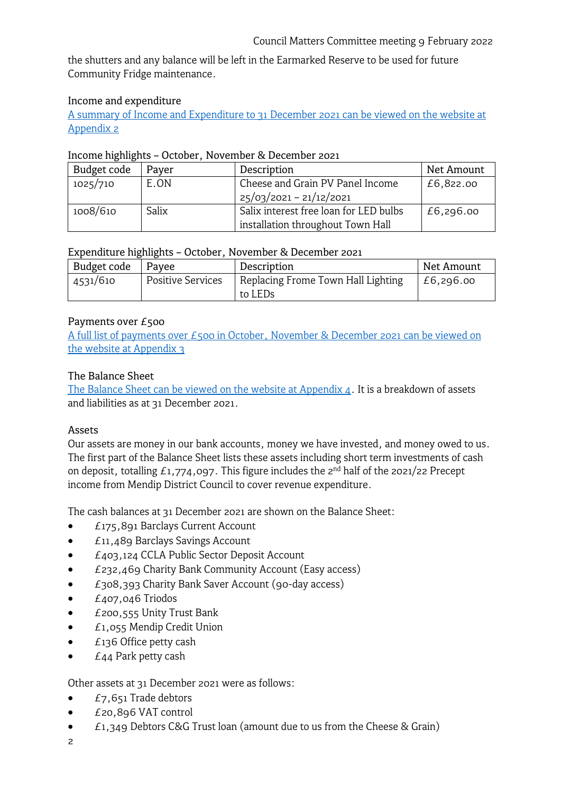the shutters and any balance will be left in the Earmarked Reserve to be used for future Community Fridge maintenance.

#### Income and expenditure

[A summary of Income and Expenditure to 31](https://www.frometowncouncil.gov.uk/wp-content/uploads/2022/02/Appendix-2-Detailed-Income-Expenditure-by-Budget-Heading-31_12__2021.pdf) December 2021 can be viewed on the website at [Appendix 2](https://www.frometowncouncil.gov.uk/wp-content/uploads/2022/02/Appendix-2-Detailed-Income-Expenditure-by-Budget-Heading-31_12__2021.pdf)

#### Income highlights – October, November & December 2021

| Budget code | Payer | Description                            | Net Amount |
|-------------|-------|----------------------------------------|------------|
| 1025/710    | E.ON  | Cheese and Grain PV Panel Income       | £6,822.00  |
|             |       | $25/03/2021 - 21/12/2021$              |            |
| 1008/610    | Salix | Salix interest free loan for LED bulbs | £6,296.00  |
|             |       | installation throughout Town Hall      |            |

#### Expenditure highlights – October, November & December 2021

| Net Amount |
|------------|
| £6,296.00  |
|            |

# Payments over £500

[A full list of payments over £500 in October, November & December 2021](https://www.frometowncouncil.gov.uk/wp-content/uploads/2022/02/Appendix-3-Payments-over-500-Oct-Dec-2021.pdf) can be viewed on [the website](https://www.frometowncouncil.gov.uk/wp-content/uploads/2022/02/Appendix-3-Payments-over-500-Oct-Dec-2021.pdf) at Appendix 3

# The Balance Sheet

The Balance Sheet [can be viewed on the website at Appendix 4.](https://www.frometowncouncil.gov.uk/wp-content/uploads/2022/02/Appendix-4-Balance-Sheet-as-at-31_12_2021.pdf) It is a breakdown of assets and liabilities as at 31 December 2021.

# Assets

Our assets are money in our bank accounts, money we have invested, and money owed to us. The first part of the Balance Sheet lists these assets including short term investments of cash on deposit, totalling  $f_{1,774,097}$ . This figure includes the  $2^{nd}$  half of the 2021/22 Precept income from Mendip District Council to cover revenue expenditure.

The cash balances at 31 December 2021 are shown on the Balance Sheet:

- £175,891 Barclays Current Account
- £11,489 Barclays Savings Account
- £403,124 CCLA Public Sector Deposit Account
- £232,469 Charity Bank Community Account (Easy access)
- £308,393 Charity Bank Saver Account (90-day access)
- $\bullet$  £407,046 Triodos
- £200,555 Unity Trust Bank
- £1,055 Mendip Credit Union
- £136 Office petty cash
- **£44 Park petty cash**

# Other assets at 31 December 2021 were as follows:

- $\bullet$  £7,651 Trade debtors
- £20,896 VAT control
- $E1,349$  Debtors C&G Trust loan (amount due to us from the Cheese & Grain)
- 2